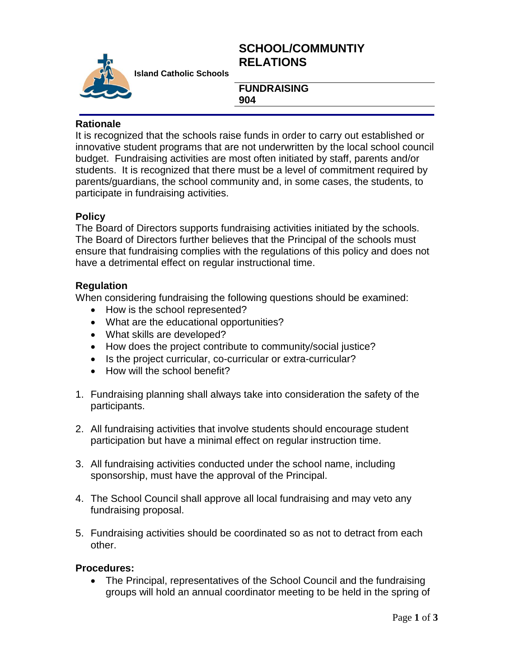# **SCHOOL/COMMUNTIY RELATIONS**



**Island Catholic Schools** 

#### **FUNDRAISING 904**

### **Rationale**

It is recognized that the schools raise funds in order to carry out established or innovative student programs that are not underwritten by the local school council budget. Fundraising activities are most often initiated by staff, parents and/or students. It is recognized that there must be a level of commitment required by parents/guardians, the school community and, in some cases, the students, to participate in fundraising activities.

### **Policy**

The Board of Directors supports fundraising activities initiated by the schools. The Board of Directors further believes that the Principal of the schools must ensure that fundraising complies with the regulations of this policy and does not have a detrimental effect on regular instructional time.

### **Regulation**

When considering fundraising the following questions should be examined:

- How is the school represented?
- What are the educational opportunities?
- What skills are developed?
- How does the project contribute to community/social justice?
- Is the project curricular, co-curricular or extra-curricular?
- How will the school benefit?
- 1. Fundraising planning shall always take into consideration the safety of the participants.
- 2. All fundraising activities that involve students should encourage student participation but have a minimal effect on regular instruction time.
- 3. All fundraising activities conducted under the school name, including sponsorship, must have the approval of the Principal.
- 4. The School Council shall approve all local fundraising and may veto any fundraising proposal.
- 5. Fundraising activities should be coordinated so as not to detract from each other.

#### **Procedures:**

• The Principal, representatives of the School Council and the fundraising groups will hold an annual coordinator meeting to be held in the spring of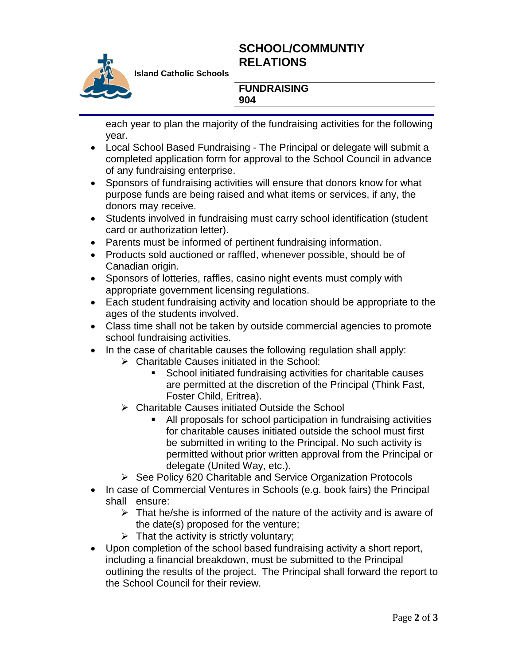# **SCHOOL/COMMUNTIY RELATIONS**



**Island Catholic Schools** 

#### **FUNDRAISING 904**

each year to plan the majority of the fundraising activities for the following year.

- Local School Based Fundraising The Principal or delegate will submit a completed application form for approval to the School Council in advance of any fundraising enterprise.
- Sponsors of fundraising activities will ensure that donors know for what purpose funds are being raised and what items or services, if any, the donors may receive.
- Students involved in fundraising must carry school identification (student card or authorization letter).
- Parents must be informed of pertinent fundraising information.
- Products sold auctioned or raffled, whenever possible, should be of Canadian origin.
- Sponsors of lotteries, raffles, casino night events must comply with appropriate government licensing regulations.
- Each student fundraising activity and location should be appropriate to the ages of the students involved.
- Class time shall not be taken by outside commercial agencies to promote school fundraising activities.
- In the case of charitable causes the following regulation shall apply:
	- Charitable Causes initiated in the School:
		- **School initiated fundraising activities for charitable causes** are permitted at the discretion of the Principal (Think Fast, Foster Child, Eritrea).
	- **► Charitable Causes initiated Outside the School** 
		- All proposals for school participation in fundraising activities for charitable causes initiated outside the school must first be submitted in writing to the Principal. No such activity is permitted without prior written approval from the Principal or delegate (United Way, etc.).
	- $\triangleright$  See Policy 620 Charitable and Service Organization Protocols
- In case of Commercial Ventures in Schools (e.g. book fairs) the Principal shall ensure:
	- $\triangleright$  That he/she is informed of the nature of the activity and is aware of the date(s) proposed for the venture;
	- $\triangleright$  That the activity is strictly voluntary;
- Upon completion of the school based fundraising activity a short report, including a financial breakdown, must be submitted to the Principal outlining the results of the project. The Principal shall forward the report to the School Council for their review.